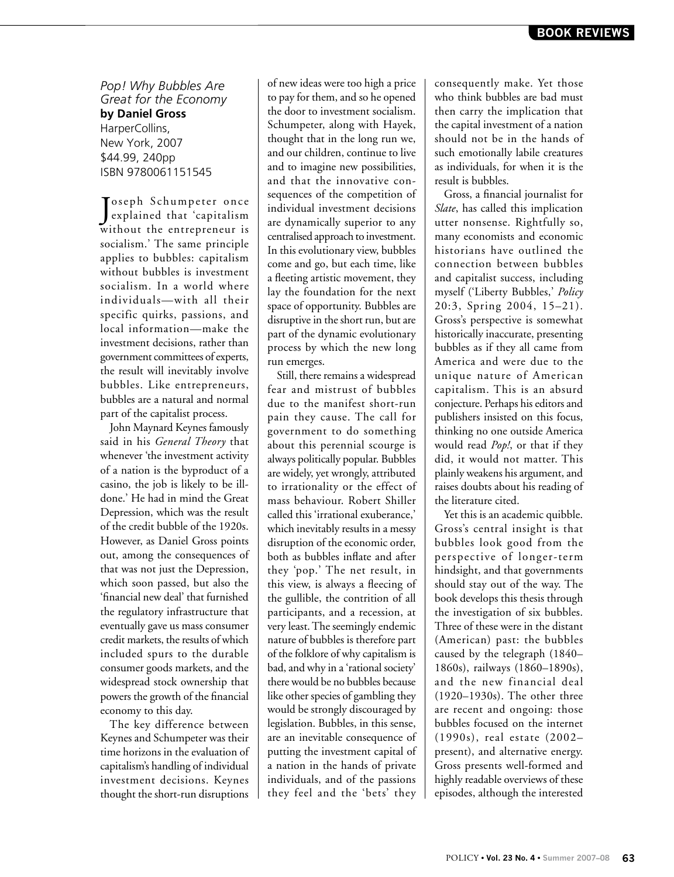*Pop! Why Bubbles Are Great for the Economy* **by Daniel Gross** HarperCollins, New York, 2007 \$44.99, 240pp ISBN 9780061151545

Joseph Schumpeter once<br>
explained that 'capitalism explained that 'capitalism without the entrepreneur is socialism.' The same principle applies to bubbles: capitalism without bubbles is investment socialism. In a world where individuals—with all their specific quirks, passions, and local information—make the investment decisions, rather than government committees of experts, the result will inevitably involve bubbles. Like entrepreneurs, bubbles are a natural and normal part of the capitalist process.

John Maynard Keynes famously said in his *General Theory* that whenever 'the investment activity of a nation is the byproduct of a casino, the job is likely to be illdone.' He had in mind the Great Depression, which was the result of the credit bubble of the 1920s. However, as Daniel Gross points out, among the consequences of that was not just the Depression, which soon passed, but also the 'financial new deal' that furnished the regulatory infrastructure that eventually gave us mass consumer credit markets, the results of which included spurs to the durable consumer goods markets, and the widespread stock ownership that powers the growth of the financial economy to this day.

The key difference between Keynes and Schumpeter was their time horizons in the evaluation of capitalism's handling of individual investment decisions. Keynes thought the short-run disruptions

of new ideas were too high a price to pay for them, and so he opened the door to investment socialism. Schumpeter, along with Hayek, thought that in the long run we, and our children, continue to live and to imagine new possibilities, and that the innovative consequences of the competition of individual investment decisions are dynamically superior to any centralised approach to investment. In this evolutionary view, bubbles come and go, but each time, like a fleeting artistic movement, they lay the foundation for the next space of opportunity. Bubbles are disruptive in the short run, but are part of the dynamic evolutionary process by which the new long run emerges.

Still, there remains a widespread fear and mistrust of bubbles due to the manifest short-run pain they cause. The call for government to do something about this perennial scourge is always politically popular. Bubbles are widely, yet wrongly, attributed to irrationality or the effect of mass behaviour. Robert Shiller called this 'irrational exuberance,' which inevitably results in a messy disruption of the economic order, both as bubbles inflate and after they 'pop.' The net result, in this view, is always a fleecing of the gullible, the contrition of all participants, and a recession, at very least. The seemingly endemic nature of bubbles is therefore part of the folklore of why capitalism is bad, and why in a 'rational society' there would be no bubbles because like other species of gambling they would be strongly discouraged by legislation. Bubbles, in this sense, are an inevitable consequence of putting the investment capital of a nation in the hands of private individuals, and of the passions they feel and the 'bets' they consequently make. Yet those who think bubbles are bad must then carry the implication that the capital investment of a nation should not be in the hands of such emotionally labile creatures as individuals, for when it is the result is bubbles.

Gross, a financial journalist for *Slate*, has called this implication utter nonsense. Rightfully so, many economists and economic historians have outlined the connection between bubbles and capitalist success, including myself ('Liberty Bubbles,' *Policy*  20:3, Spring 2004, 15–21). Gross's perspective is somewhat historically inaccurate, presenting bubbles as if they all came from America and were due to the unique nature of American capitalism. This is an absurd conjecture. Perhaps his editors and publishers insisted on this focus, thinking no one outside America would read *Pop!*, or that if they did, it would not matter. This plainly weakens his argument, and raises doubts about his reading of the literature cited.

Yet this is an academic quibble. Gross's central insight is that bubbles look good from the perspective of longer-term hindsight, and that governments should stay out of the way. The book develops this thesis through the investigation of six bubbles. Three of these were in the distant (American) past: the bubbles caused by the telegraph (1840– 1860s), railways (1860–1890s), and the new financial deal (1920–1930s). The other three are recent and ongoing: those bubbles focused on the internet (1990s), real estate (2002– present), and alternative energy. Gross presents well-formed and highly readable overviews of these episodes, although the interested